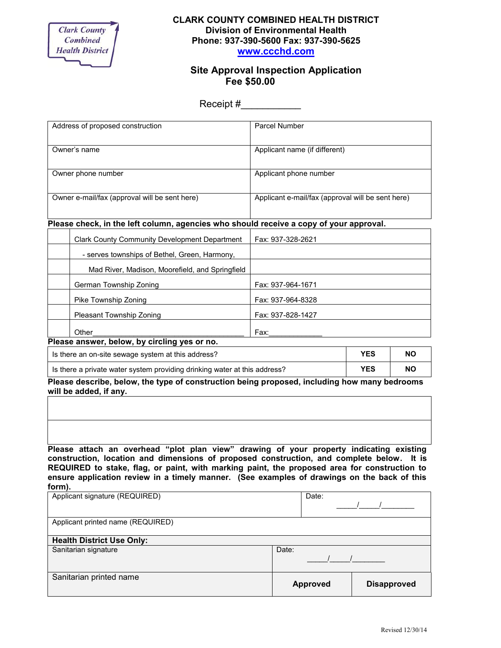

## **CLARK COUNTY COMBINED HEALTH DISTRICT Division of Environmental Health Phone: 937-390-5600 Fax: 937-390-5625 www.ccchd.com**

## **Site Approval Inspection Application Fee \$50.00**

Receipt #

| Address of proposed construction                                                       |                                                      | Parcel Number                                     |  |  |  |
|----------------------------------------------------------------------------------------|------------------------------------------------------|---------------------------------------------------|--|--|--|
| Owner's name                                                                           |                                                      | Applicant name (if different)                     |  |  |  |
|                                                                                        |                                                      |                                                   |  |  |  |
| Owner phone number                                                                     |                                                      | Applicant phone number                            |  |  |  |
| Owner e-mail/fax (approval will be sent here)                                          |                                                      | Applicant e-mail/fax (approval will be sent here) |  |  |  |
| Please check, in the left column, agencies who should receive a copy of your approval. |                                                      |                                                   |  |  |  |
|                                                                                        | <b>Clark County Community Development Department</b> | Fax: 937-328-2621                                 |  |  |  |
|                                                                                        | - serves townships of Bethel, Green, Harmony,        |                                                   |  |  |  |
|                                                                                        | Mad River, Madison, Moorefield, and Springfield      |                                                   |  |  |  |
|                                                                                        | German Township Zoning                               | Fax: 937-964-1671                                 |  |  |  |
|                                                                                        | Pike Township Zoning                                 | Fax: 937-964-8328                                 |  |  |  |
|                                                                                        | Pleasant Township Zoning                             | Fax: 937-828-1427                                 |  |  |  |

Other\_\_\_\_\_\_\_\_\_\_\_\_\_\_\_\_\_\_\_\_\_\_\_\_\_\_\_\_\_\_\_\_\_\_\_\_\_ Fax:\_\_\_\_\_\_\_\_\_\_\_\_\_ **Please answer, below, by circling yes or no.**

| Is there an on-site sewage system at this address?                        | YES | <b>NC</b> |
|---------------------------------------------------------------------------|-----|-----------|
| Is there a private water system providing drinking water at this address? | YES | <b>NC</b> |

**Please describe, below, the type of construction being proposed, including how many bedrooms will be added, if any.**

**Please attach an overhead "plot plan view" drawing of your property indicating existing construction, location and dimensions of proposed construction, and complete below. It is REQUIRED to stake, flag, or paint, with marking paint, the proposed area for construction to ensure application review in a timely manner. (See examples of drawings on the back of this form).**

| Applicant signature (REQUIRED)    | Date:           |                    |
|-----------------------------------|-----------------|--------------------|
| Applicant printed name (REQUIRED) |                 |                    |
| <b>Health District Use Only:</b>  |                 |                    |
| Sanitarian signature              | Date:           |                    |
| Sanitarian printed name           | <b>Approved</b> | <b>Disapproved</b> |